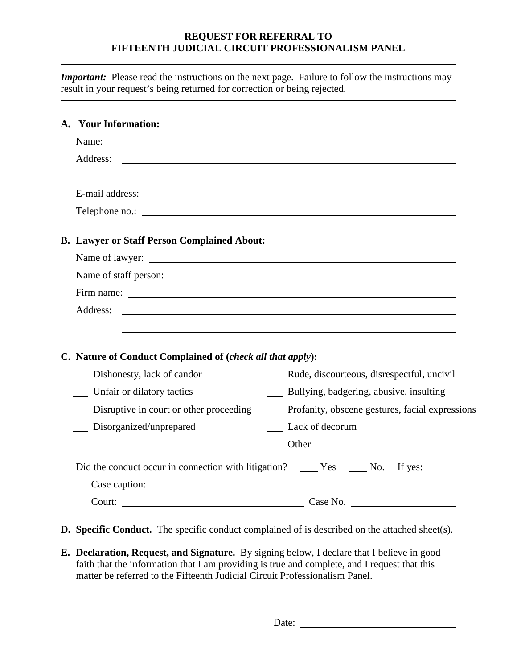## **REQUEST FOR REFERRAL TO FIFTEENTH JUDICIAL CIRCUIT PROFESSIONALISM PANEL**

*Important:* Please read the instructions on the next page. Failure to follow the instructions may result in your request's being returned for correction or being rejected.

|  | A. Your Information:                                                                                                                                                                                                           |
|--|--------------------------------------------------------------------------------------------------------------------------------------------------------------------------------------------------------------------------------|
|  | Name:                                                                                                                                                                                                                          |
|  | Address:<br>and the control of the control of the control of the control of the control of the control of the control of the                                                                                                   |
|  | E-mail address: Note and the set of the set of the set of the set of the set of the set of the set of the set of the set of the set of the set of the set of the set of the set of the set of the set of the set of the set of |
|  | Telephone no.:                                                                                                                                                                                                                 |
|  | <b>B. Lawyer or Staff Person Complained About:</b>                                                                                                                                                                             |
|  |                                                                                                                                                                                                                                |
|  | Name of staff person:                                                                                                                                                                                                          |
|  |                                                                                                                                                                                                                                |
|  | Address:                                                                                                                                                                                                                       |
|  |                                                                                                                                                                                                                                |
|  |                                                                                                                                                                                                                                |
|  | C. Nature of Conduct Complained of (check all that apply):                                                                                                                                                                     |
|  | __ Dishonesty, lack of candor<br>Rude, discourteous, disrespectful, uncivil                                                                                                                                                    |
|  | Bullying, badgering, abusive, insulting<br>Unfair or dilatory tactics                                                                                                                                                          |
|  | __ Disruptive in court or other proceeding<br>__ Profanity, obscene gestures, facial expressions                                                                                                                               |
|  | ___ Disorganized/unprepared<br>__ Lack of decorum                                                                                                                                                                              |
|  | Other                                                                                                                                                                                                                          |
|  |                                                                                                                                                                                                                                |
|  |                                                                                                                                                                                                                                |
|  | Court: Court: Court: Case No.                                                                                                                                                                                                  |

- **D. Specific Conduct.** The specific conduct complained of is described on the attached sheet(s).
- **E. Declaration, Request, and Signature.** By signing below, I declare that I believe in good faith that the information that I am providing is true and complete, and I request that this matter be referred to the Fifteenth Judicial Circuit Professionalism Panel.

Date: